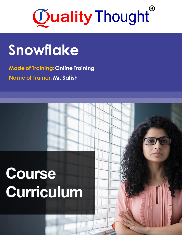

## **Snowflake**

**Mode of Training: Online Training Name of Trainer: Mr. Satish**

# **Course Curriculum**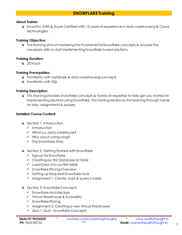### **SNOWFLAKE Training**

#### **About Trainer:**

SnowPro, AWS & Azure Certified with 12 years of experience in data warehousing & Cloud technologies.

#### **Training Objective:**

↓ This training aims at mastering the Fundamental Snowflake concepts & acquire the necessary skills to start implementing Snowflake based solutions.

#### **Training Duration:**

 $\pm 20$  Hours

#### **Training Prerequisites:**

- $\ddot{\phantom{1}}$  Familiarity with database & data warehousing concepts
- $\leftarrow$  Familiarity with SQL

#### **Training Description:**

 $\ddotplus$  This training provides Snowflake concepts & hands on expertise to help get you started on implementing solutions using Snowflake. This training reinforces the learning through hands on labs, assignments & quizzes.

#### **Detailed Course Content:**

- $\ddot{\bullet}$  Section 1: Introduction
	- ✓ Introduction
	- ✓ What is a data warehouse?
	- ✓ Why cloud computing?
	- ✓ The Snowflake Story
- $\ddotplus$  Section 2: Getting Started with Snowflake
	- ✓ Signup for Snowflake
	- ✓ Creating our first Database & Table
	- ✓ Load Data into our first table
	- ✓ Snowflake Pricing Overview
	- ✓ Setting up Required Snowflake tools
	- ✓ Assignment 1: Create, load & query a table
- **↓** Section 3: Snowflake Concepts
	- ✓ Snowflake Architecture
	- ✓ Virtual Warehouse & Scalability
	- ✓ Snowflake Pricing
	- ✓ Assignment 2: Creating a new Virtual Warehouse
	- ✓ Quiz 1: Quiz Snowflake Concepts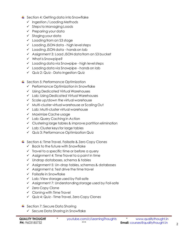- ↓ Section 4: Getting data into Snowflake
	- ✓ Ingestion / Loading Methods
	- ✓ Steps to Managing Loads
	- ✓ Preparing your data
	- ✓ Staging your data
	- ✓ Loading from an S3 stage
	- ✓ Loading JSON data high level steps
	- ✓ Loading JSON data hands on lab
	- ✓ Assignment 3: Load JSON data from an S3 bucket
	- ✓ What is Snowpipe?
	- ✓ Loading data via Snowpipe high level steps
	- ✓ Loading data via Snowpipe hands on lab
	- ✓ Quiz 2: Quiz Data Ingestion Quiz
- $\ddotmark$  Section 5: Performance Optimization
	- ✓ Performance Optimization in Snowflake
	- ✓ Using Dedicated Virtual Warehouses
	- ✓ Lab: Using Dedicated Virtual Warehouses
	- $\checkmark$  Scale up/down the virtual warehouse
	- ✓ Multi-cluster virtual warehouse or Scaling Out
	- ✓ Lab: Multi-cluster virtual warehouse
	- ✓ Maximize Cache usage
	- ✓ Lab: Query Caching in Action
	- ✓ Clustering large tables & improve partition elimination
	- $\checkmark$  Lab: Cluster keys for large tables
	- ✓ Quiz 3: Performance Optimization Quiz
- 4 Section 6: Time Travel, Failsafe & Zero Copy Clones
	- $\checkmark$  Back to the future with Snowflake
	- $\checkmark$  Travel to a specific time or before a query
	- $\checkmark$  Assignment 4: Time Travel to a point in time
	- ✓ Undrop databases, schema & tables
	- ✓ Assignment 5: Un-drop tables, schemas & databases
	- $\checkmark$  Assignment 6: Test drive the time travel
	- $\checkmark$  Failsafe in Snowflake
	- ✓ Lab: View storage used by Fail-safe
	- ✓ Assignment 7: Understanding storage used by Fail-safe
	- ✓ Zero Copy Clone
	- $\checkmark$  Cloning with Time Travel
	- ✓ Quiz 4: Quiz Time Travel, Zero Copy Clones
- $\overline{\phantom{a}}$  Section 7: Secure Data Sharing
	- ✓ Secure Data Sharing in Snowflake